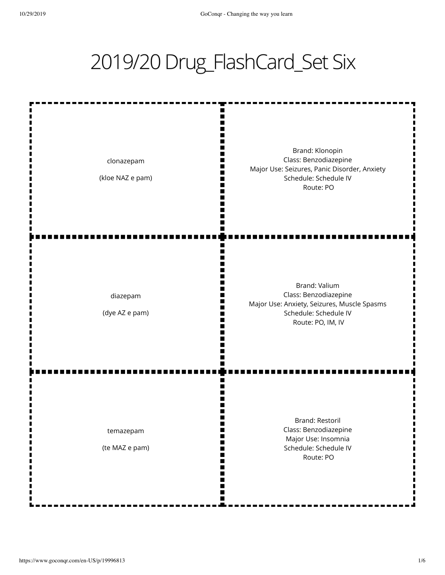## 2019/20 Drug\_FlashCard\_Set Six

ш m Ш I٢ Brand: Klonopin Class: Benzodiazepine clonazepam Ш Major Use: Seizures, Panic Disorder, Anxiety Ш (kloe NAZ e pam) Schedule: Schedule IV m Ш Route: PO Ш п ī. Brand: Valium Class: Benzodiazepine diazepam П Major Use: Anxiety, Seizures, Muscle Spasms Ш (dye AZ e pam) Schedule: Schedule IV m Route: PO, IM, IV П п n Brand: Restoril Class: Benzodiazepine temazepam Ш W Major Use: Insomnia Schedule: Schedule IV (te MAZ e pam) H H Route: PO ш m Ш п ш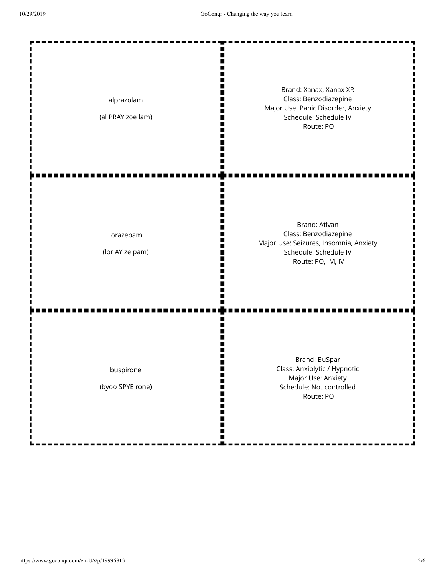| alprazolam<br>(al PRAY zoe lam)    | Brand: Xanax, Xanax XR<br>Class: Benzodiazepine<br>Major Use: Panic Disorder, Anxiety<br>Schedule: Schedule IV<br>Route: PO    |
|------------------------------------|--------------------------------------------------------------------------------------------------------------------------------|
| lorazepam<br>(lor AY ze pam)       | Brand: Ativan<br>Class: Benzodiazepine<br>Major Use: Seizures, Insomnia, Anxiety<br>Schedule: Schedule IV<br>Route: PO, IM, IV |
| buspirone<br>(byoo SPYE rone)<br>Ш | Brand: BuSpar<br>Class: Anxiolytic / Hypnotic<br>Major Use: Anxiety<br>Schedule: Not controlled<br>Route: PO<br>Ш              |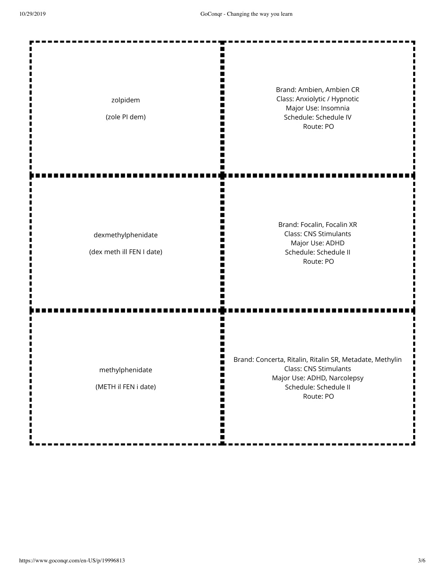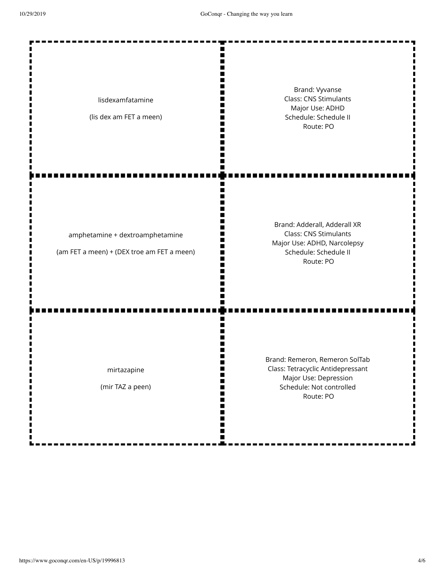| lisdexamfatamine<br>(lis dex am FET a meen)                                   | Brand: Vyvanse<br><b>Class: CNS Stimulants</b><br>Major Use: ADHD<br>Schedule: Schedule II<br>Route: PO                               |
|-------------------------------------------------------------------------------|---------------------------------------------------------------------------------------------------------------------------------------|
| amphetamine + dextroamphetamine<br>(am FET a meen) + (DEX troe am FET a meen) | Brand: Adderall, Adderall XR<br><b>Class: CNS Stimulants</b><br>Major Use: ADHD, Narcolepsy<br>Schedule: Schedule II<br>Route: PO     |
| mirtazapine<br>(mir TAZ a peen)                                               | Brand: Remeron, Remeron SolTab<br>Class: Tetracyclic Antidepressant<br>Major Use: Depression<br>Schedule: Not controlled<br>Route: PO |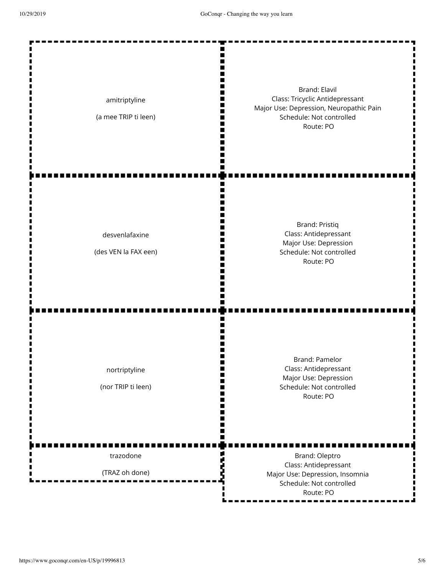